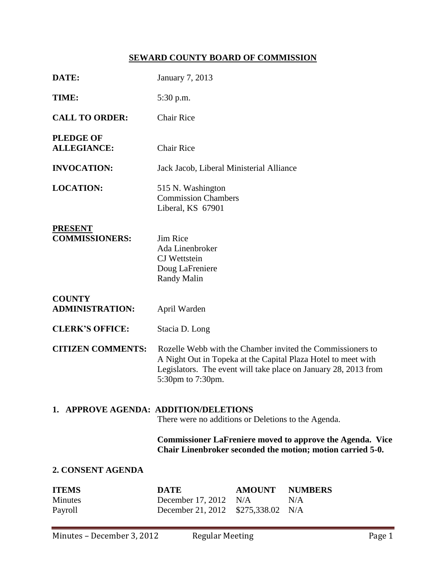# **SEWARD COUNTY BOARD OF COMMISSION**

| DATE:                                                                                        | January 7, 2013                                                                                                                                                                                                     |                                      |                              |  |
|----------------------------------------------------------------------------------------------|---------------------------------------------------------------------------------------------------------------------------------------------------------------------------------------------------------------------|--------------------------------------|------------------------------|--|
|                                                                                              |                                                                                                                                                                                                                     |                                      |                              |  |
| TIME:                                                                                        | 5:30 p.m.                                                                                                                                                                                                           |                                      |                              |  |
| <b>CALL TO ORDER:</b>                                                                        | <b>Chair Rice</b>                                                                                                                                                                                                   |                                      |                              |  |
| <b>PLEDGE OF</b><br><b>ALLEGIANCE:</b>                                                       | <b>Chair Rice</b>                                                                                                                                                                                                   |                                      |                              |  |
| <b>INVOCATION:</b>                                                                           | Jack Jacob, Liberal Ministerial Alliance                                                                                                                                                                            |                                      |                              |  |
| <b>LOCATION:</b>                                                                             | 515 N. Washington<br><b>Commission Chambers</b><br>Liberal, KS 67901                                                                                                                                                |                                      |                              |  |
| <b>PRESENT</b><br><b>COMMISSIONERS:</b>                                                      | Jim Rice<br>Ada Linenbroker<br><b>CJ</b> Wettstein<br>Doug LaFreniere<br><b>Randy Malin</b>                                                                                                                         |                                      |                              |  |
| <b>COUNTY</b><br><b>ADMINISTRATION:</b>                                                      | April Warden                                                                                                                                                                                                        |                                      |                              |  |
| <b>CLERK'S OFFICE:</b>                                                                       | Stacia D. Long                                                                                                                                                                                                      |                                      |                              |  |
| <b>CITIZEN COMMENTS:</b>                                                                     | Rozelle Webb with the Chamber invited the Commissioners to<br>A Night Out in Topeka at the Capital Plaza Hotel to meet with<br>Legislators. The event will take place on January 28, 2013 from<br>5:30pm to 7:30pm. |                                      |                              |  |
| 1. APPROVE AGENDA: ADDITION/DELETIONS<br>There were no additions or Deletions to the Agenda. |                                                                                                                                                                                                                     |                                      |                              |  |
|                                                                                              | <b>Commissioner LaFreniere moved to approve the Agenda. Vice</b><br>Chair Linenbroker seconded the motion; motion carried 5-0.                                                                                      |                                      |                              |  |
| 2. CONSENT AGENDA                                                                            |                                                                                                                                                                                                                     |                                      |                              |  |
| <b>ITEMS</b><br><b>Minutes</b><br>Payroll                                                    | <b>DATE</b><br>December 17, 2012<br>December 21, 2012                                                                                                                                                               | <b>AMOUNT</b><br>N/A<br>\$275,338.02 | <b>NUMBERS</b><br>N/A<br>N/A |  |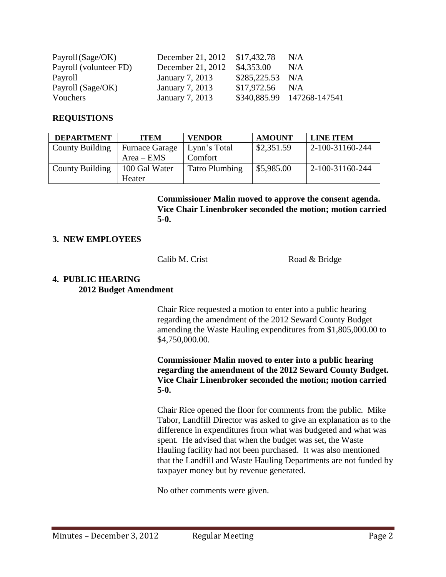| Payroll (Sage/OK)      | December 21, 2012 \$17,432.78 |                   | N/A                        |
|------------------------|-------------------------------|-------------------|----------------------------|
| Payroll (volunteer FD) | December 21, 2012             | \$4,353.00        | N/A                        |
| Payroll                | January 7, 2013               | $$285,225.53$ N/A |                            |
| Payroll (Sage/OK)      | January 7, 2013               | $$17,972.56$ N/A  |                            |
| Vouchers               | January 7, 2013               |                   | \$340,885.99 147268-147541 |

# **REQUISTIONS**

| <b>DEPARTMENT</b>      | <b>ITEM</b>           | <b>VENDOR</b>         | <b>AMOUNT</b> | <b>LINE ITEM</b> |
|------------------------|-----------------------|-----------------------|---------------|------------------|
| <b>County Building</b> | <b>Furnace Garage</b> | Lynn's Total          | \$2,351.59    | 2-100-31160-244  |
|                        | $Area - EMS$          | Comfort               |               |                  |
| County Building        | 100 Gal Water         | <b>Tatro Plumbing</b> | \$5,985.00    | 2-100-31160-244  |
|                        | Heater                |                       |               |                  |

**Commissioner Malin moved to approve the consent agenda. Vice Chair Linenbroker seconded the motion; motion carried 5-0.**

### **3. NEW EMPLOYEES**

Calib M. Crist Road & Bridge

### **4. PUBLIC HEARING 2012 Budget Amendment**

Chair Rice requested a motion to enter into a public hearing regarding the amendment of the 2012 Seward County Budget amending the Waste Hauling expenditures from \$1,805,000.00 to \$4,750,000.00.

**Commissioner Malin moved to enter into a public hearing regarding the amendment of the 2012 Seward County Budget. Vice Chair Linenbroker seconded the motion; motion carried 5-0.**

Chair Rice opened the floor for comments from the public. Mike Tabor, Landfill Director was asked to give an explanation as to the difference in expenditures from what was budgeted and what was spent. He advised that when the budget was set, the Waste Hauling facility had not been purchased. It was also mentioned that the Landfill and Waste Hauling Departments are not funded by taxpayer money but by revenue generated.

No other comments were given.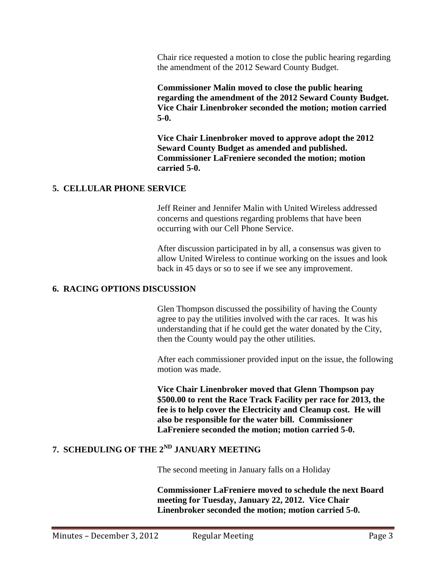Chair rice requested a motion to close the public hearing regarding the amendment of the 2012 Seward County Budget.

**Commissioner Malin moved to close the public hearing regarding the amendment of the 2012 Seward County Budget. Vice Chair Linenbroker seconded the motion; motion carried 5-0.**

**Vice Chair Linenbroker moved to approve adopt the 2012 Seward County Budget as amended and published. Commissioner LaFreniere seconded the motion; motion carried 5-0.**

### **5. CELLULAR PHONE SERVICE**

Jeff Reiner and Jennifer Malin with United Wireless addressed concerns and questions regarding problems that have been occurring with our Cell Phone Service.

After discussion participated in by all, a consensus was given to allow United Wireless to continue working on the issues and look back in 45 days or so to see if we see any improvement.

# **6. RACING OPTIONS DISCUSSION**

Glen Thompson discussed the possibility of having the County agree to pay the utilities involved with the car races. It was his understanding that if he could get the water donated by the City, then the County would pay the other utilities.

After each commissioner provided input on the issue, the following motion was made.

**Vice Chair Linenbroker moved that Glenn Thompson pay \$500.00 to rent the Race Track Facility per race for 2013, the fee is to help cover the Electricity and Cleanup cost. He will also be responsible for the water bill. Commissioner LaFreniere seconded the motion; motion carried 5-0.**

# **7. SCHEDULING OF THE 2ND JANUARY MEETING**

The second meeting in January falls on a Holiday

**Commissioner LaFreniere moved to schedule the next Board meeting for Tuesday, January 22, 2012. Vice Chair Linenbroker seconded the motion; motion carried 5-0.**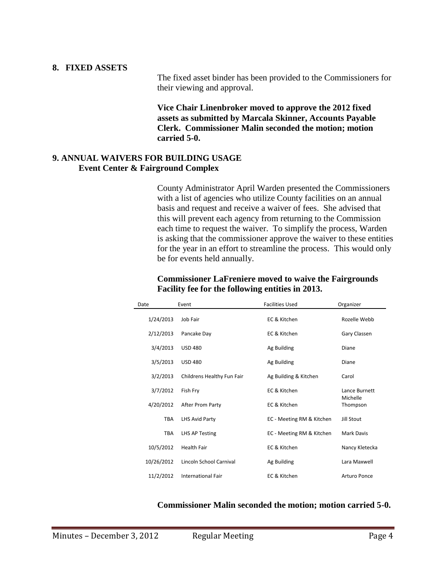#### **8. FIXED ASSETS**

The fixed asset binder has been provided to the Commissioners for their viewing and approval.

**Vice Chair Linenbroker moved to approve the 2012 fixed assets as submitted by Marcala Skinner, Accounts Payable Clerk. Commissioner Malin seconded the motion; motion carried 5-0.**

#### **9. ANNUAL WAIVERS FOR BUILDING USAGE Event Center & Fairground Complex**

County Administrator April Warden presented the Commissioners with a list of agencies who utilize County facilities on an annual basis and request and receive a waiver of fees. She advised that this will prevent each agency from returning to the Commission each time to request the waiver. To simplify the process, Warden is asking that the commissioner approve the waiver to these entities for the year in an effort to streamline the process. This would only be for events held annually.

| Date       | Event                      | <b>Facilities Used</b>    | Organizer                 |
|------------|----------------------------|---------------------------|---------------------------|
| 1/24/2013  | Job Fair                   | EC & Kitchen              | Rozelle Webb              |
| 2/12/2013  | Pancake Day                | EC & Kitchen              | Gary Classen              |
| 3/4/2013   | <b>USD 480</b>             | Ag Building               | Diane                     |
| 3/5/2013   | <b>USD 480</b>             | Ag Building               | Diane                     |
| 3/2/2013   | Childrens Healthy Fun Fair | Ag Building & Kitchen     | Carol                     |
| 3/7/2012   | Fish Fry                   | EC & Kitchen              | Lance Burnett<br>Michelle |
| 4/20/2012  | After Prom Party           | EC & Kitchen              | Thompson                  |
| <b>TBA</b> | LHS Avid Party             | EC - Meeting RM & Kitchen | Jill Stout                |
| <b>TBA</b> | <b>LHS AP Testing</b>      | EC - Meeting RM & Kitchen | Mark Davis                |
| 10/5/2012  | <b>Health Fair</b>         | EC & Kitchen              | Nancy Kletecka            |
| 10/26/2012 | Lincoln School Carnival    | Ag Building               | Lara Maxwell              |
| 11/2/2012  | <b>International Fair</b>  | EC & Kitchen              | Arturo Ponce              |

### **Commissioner LaFreniere moved to waive the Fairgrounds Facility fee for the following entities in 2013.**

**Commissioner Malin seconded the motion; motion carried 5-0.**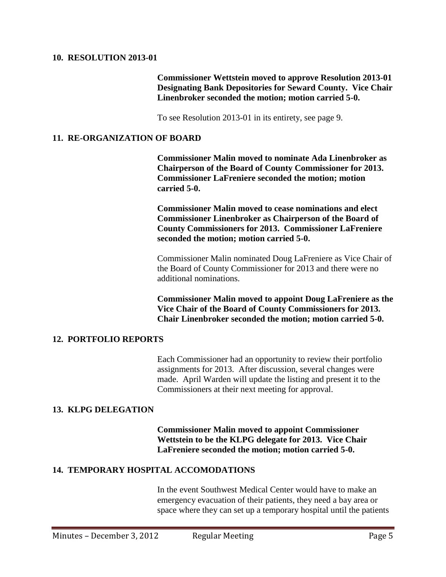#### **10. RESOLUTION 2013-01**

**Commissioner Wettstein moved to approve Resolution 2013-01 Designating Bank Depositories for Seward County. Vice Chair Linenbroker seconded the motion; motion carried 5-0.**

To see Resolution 2013-01 in its entirety, see page 9.

#### **11. RE-ORGANIZATION OF BOARD**

**Commissioner Malin moved to nominate Ada Linenbroker as Chairperson of the Board of County Commissioner for 2013. Commissioner LaFreniere seconded the motion; motion carried 5-0.**

**Commissioner Malin moved to cease nominations and elect Commissioner Linenbroker as Chairperson of the Board of County Commissioners for 2013. Commissioner LaFreniere seconded the motion; motion carried 5-0.**

Commissioner Malin nominated Doug LaFreniere as Vice Chair of the Board of County Commissioner for 2013 and there were no additional nominations.

**Commissioner Malin moved to appoint Doug LaFreniere as the Vice Chair of the Board of County Commissioners for 2013. Chair Linenbroker seconded the motion; motion carried 5-0.**

#### **12. PORTFOLIO REPORTS**

Each Commissioner had an opportunity to review their portfolio assignments for 2013. After discussion, several changes were made. April Warden will update the listing and present it to the Commissioners at their next meeting for approval.

#### **13. KLPG DELEGATION**

**Commissioner Malin moved to appoint Commissioner Wettstein to be the KLPG delegate for 2013. Vice Chair LaFreniere seconded the motion; motion carried 5-0.**

# **14. TEMPORARY HOSPITAL ACCOMODATIONS**

In the event Southwest Medical Center would have to make an emergency evacuation of their patients, they need a bay area or space where they can set up a temporary hospital until the patients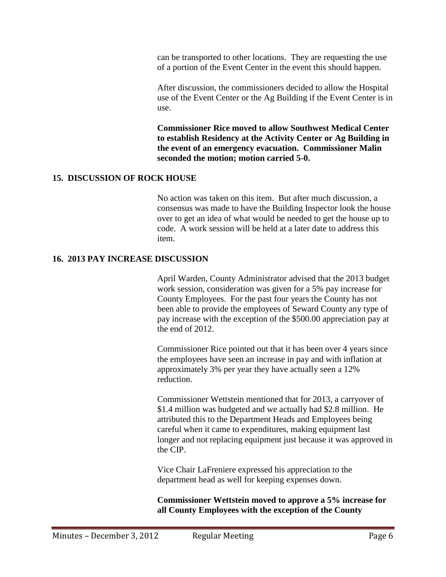can be transported to other locations. They are requesting the use of a portion of the Event Center in the event this should happen.

After discussion, the commissioners decided to allow the Hospital use of the Event Center or the Ag Building if the Event Center is in use.

**Commissioner Rice moved to allow Southwest Medical Center to establish Residency at the Activity Center or Ag Building in the event of an emergency evacuation. Commissioner Malin seconded the motion; motion carried 5-0.**

# **15. DISCUSSION OF ROCK HOUSE**

No action was taken on this item. But after much discussion, a consensus was made to have the Building Inspector look the house over to get an idea of what would be needed to get the house up to code. A work session will be held at a later date to address this item.

### **16. 2013 PAY INCREASE DISCUSSION**

April Warden, County Administrator advised that the 2013 budget work session, consideration was given for a 5% pay increase for County Employees. For the past four years the County has not been able to provide the employees of Seward County any type of pay increase with the exception of the \$500.00 appreciation pay at the end of 2012.

Commissioner Rice pointed out that it has been over 4 years since the employees have seen an increase in pay and with inflation at approximately 3% per year they have actually seen a 12% reduction.

Commissioner Wettstein mentioned that for 2013, a carryover of \$1.4 million was budgeted and we actually had \$2.8 million. He attributed this to the Department Heads and Employees being careful when it came to expenditures, making equipment last longer and not replacing equipment just because it was approved in the CIP.

Vice Chair LaFreniere expressed his appreciation to the department head as well for keeping expenses down.

**Commissioner Wettstein moved to approve a 5% increase for all County Employees with the exception of the County**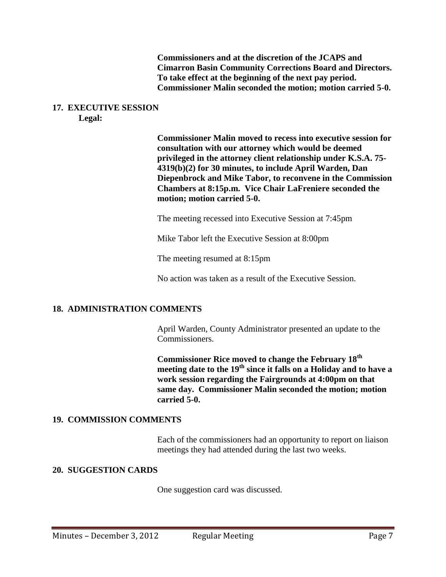**Commissioners and at the discretion of the JCAPS and Cimarron Basin Community Corrections Board and Directors. To take effect at the beginning of the next pay period. Commissioner Malin seconded the motion; motion carried 5-0.**

#### **17. EXECUTIVE SESSION Legal:**

**Commissioner Malin moved to recess into executive session for consultation with our attorney which would be deemed privileged in the attorney client relationship under K.S.A. 75- 4319(b)(2) for 30 minutes, to include April Warden, Dan Diepenbrock and Mike Tabor, to reconvene in the Commission Chambers at 8:15p.m. Vice Chair LaFreniere seconded the motion; motion carried 5-0.**

The meeting recessed into Executive Session at 7:45pm

Mike Tabor left the Executive Session at 8:00pm

The meeting resumed at 8:15pm

No action was taken as a result of the Executive Session.

# **18. ADMINISTRATION COMMENTS**

April Warden, County Administrator presented an update to the Commissioners.

**Commissioner Rice moved to change the February 18th meeting date to the 19th since it falls on a Holiday and to have a work session regarding the Fairgrounds at 4:00pm on that same day. Commissioner Malin seconded the motion; motion carried 5-0.** 

#### **19. COMMISSION COMMENTS**

Each of the commissioners had an opportunity to report on liaison meetings they had attended during the last two weeks.

# **20. SUGGESTION CARDS**

One suggestion card was discussed.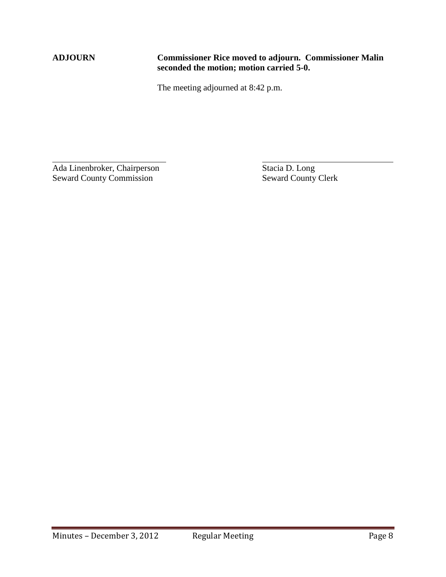$\overline{a}$ 

# **ADJOURN Commissioner Rice moved to adjourn. Commissioner Malin seconded the motion; motion carried 5-0.**

The meeting adjourned at 8:42 p.m.

Ada Linenbroker, Chairperson Stacia D. Long<br>Seward County Commission Seward County Clerk Seward County Commission